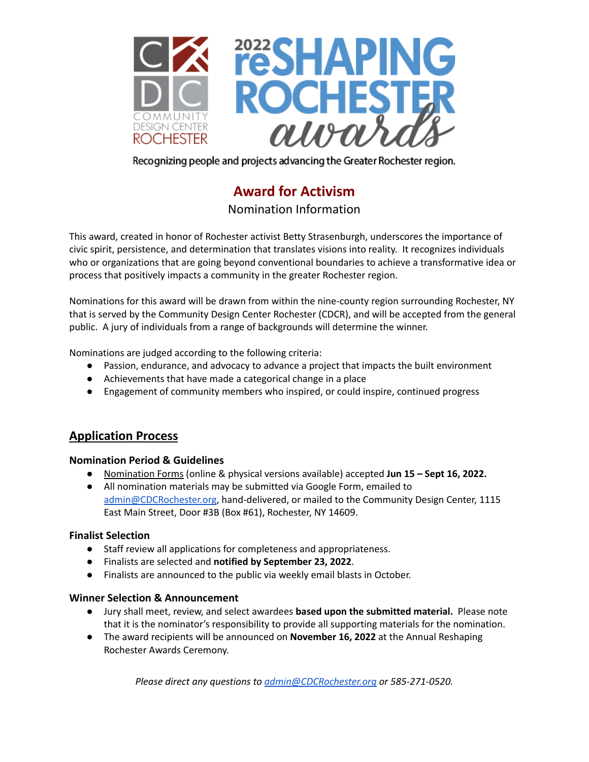

Recognizing people and projects advancing the Greater Rochester region.

# **Award for Activism**

Nomination Information

This award, created in honor of Rochester activist Betty Strasenburgh, underscores the importance of civic spirit, persistence, and determination that translates visions into reality. It recognizes individuals who or organizations that are going beyond conventional boundaries to achieve a transformative idea or process that positively impacts a community in the greater Rochester region.

Nominations for this award will be drawn from within the nine-county region surrounding Rochester, NY that is served by the Community Design Center Rochester (CDCR), and will be accepted from the general public. A jury of individuals from a range of backgrounds will determine the winner.

Nominations are judged according to the following criteria:

- Passion, endurance, and advocacy to advance a project that impacts the built environment
- Achievements that have made a categorical change in a place
- Engagement of community members who inspired, or could inspire, continued progress

# **Application Process**

#### **Nomination Period & Guidelines**

- Nomination Forms (online & physical versions available) accepted **Jun 15 – Sept 16, 2022.**
- All nomination materials may be submitted via Google Form, emailed to [admin@CDCRochester.org](mailto:admin@CDCRochester.org), hand-delivered, or mailed to the Community Design Center, 1115 East Main Street, Door #3B (Box #61), Rochester, NY 14609.

## **Finalist Selection**

- Staff review all applications for completeness and appropriateness.
- **●** Finalists are selected and **notified by September 23, 2022**.
- Finalists are announced to the public via weekly email blasts in October.

## **Winner Selection & Announcement**

- Jury shall meet, review, and select awardees **based upon the submitted material.** Please note that it is the nominator's responsibility to provide all supporting materials for the nomination.
- The award recipients will be announced on **November 16, 2022** at the Annual Reshaping Rochester Awards Ceremony.

*Please direct any questions to [admin@CDCRochester.org](mailto:admin@CDCRochester.org) or 585-271-0520.*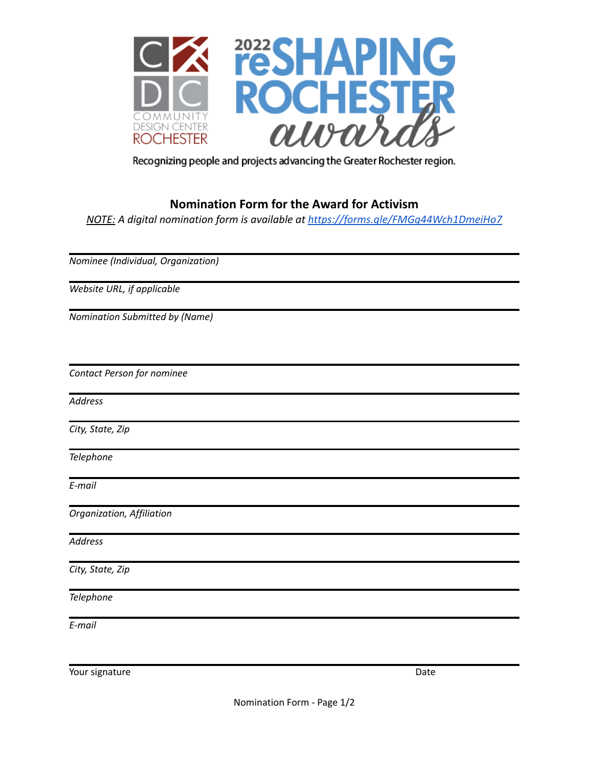

Recognizing people and projects advancing the Greater Rochester region.

# **Nomination Form for the Award for Activism**

*NOTE: A digital nomination form is available at <https://forms.gle/FMGg44Wch1DmeiHo7>*

*Nominee (Individual, Organization)*

*Website URL, if applicable*

*Nomination Submitted by (Name)*

*Contact Person for nominee*

*Address*

*City, State, Zip*

*Telephone*

*E-mail*

*Organization, Affiliation*

*Address*

*City, State, Zip*

*Telephone*

*E-mail*

Your signature Date